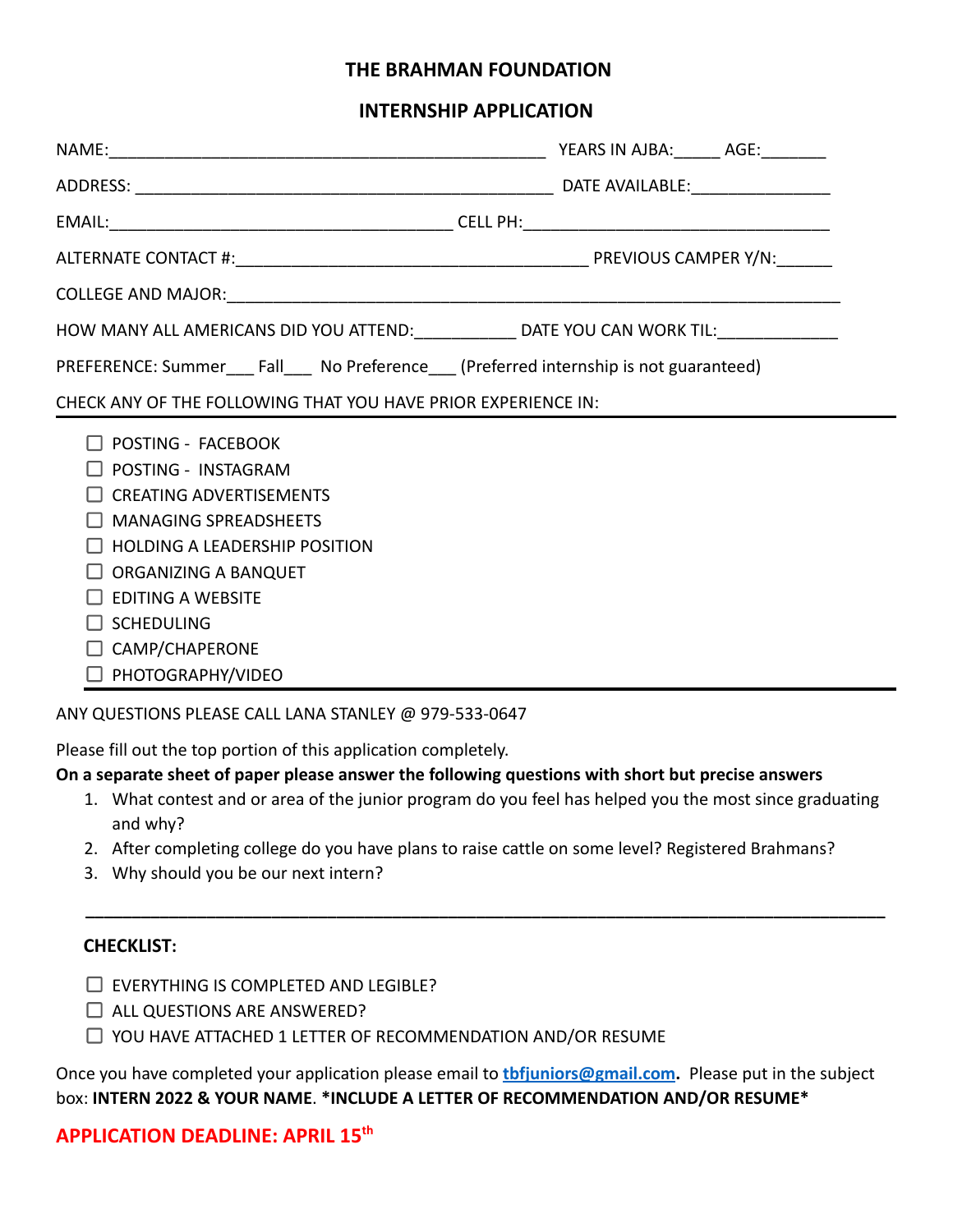# **THE BRAHMAN FOUNDATION**

### **INTERNSHIP APPLICATION**

| HOW MANY ALL AMERICANS DID YOU ATTEND: _____________ DATE YOU CAN WORK TIL: _______________                                                                                                                                                                         |  |  |
|---------------------------------------------------------------------------------------------------------------------------------------------------------------------------------------------------------------------------------------------------------------------|--|--|
| PREFERENCE: Summer Fall No Preference (Preferred internship is not guaranteed)                                                                                                                                                                                      |  |  |
| CHECK ANY OF THE FOLLOWING THAT YOU HAVE PRIOR EXPERIENCE IN:                                                                                                                                                                                                       |  |  |
| <b>POSTING - FACEBOOK</b><br>POSTING - INSTAGRAM<br>$\Box$ CREATING ADVERTISEMENTS<br><b>MANAGING SPREADSHEETS</b><br><b>HOLDING A LEADERSHIP POSITION</b><br>ORGANIZING A BANQUET<br>EDITING A WEBSITE<br><b>SCHEDULING</b><br>CAMP/CHAPERONE<br>PHOTOGRAPHY/VIDEO |  |  |

ANY QUESTIONS PLEASE CALL LANA STANLEY @ 979-533-0647

Please fill out the top portion of this application completely.

#### **On a separate sheet of paper please answer the following questions with short but precise answers**

1. What contest and or area of the junior program do you feel has helped you the most since graduating and why?

**\_\_\_\_\_\_\_\_\_\_\_\_\_\_\_\_\_\_\_\_\_\_\_\_\_\_\_\_\_\_\_\_\_\_\_\_\_\_\_\_\_\_\_\_\_\_\_\_\_\_\_\_\_\_\_\_\_\_\_\_\_\_\_\_\_\_\_\_\_\_\_\_\_\_\_\_\_\_\_\_\_\_\_\_\_\_**

- 2. After completing college do you have plans to raise cattle on some level? Registered Brahmans?
- 3. Why should you be our next intern?

### **CHECKLIST:**

- $\Box$  EVERYTHING IS COMPLETED AND LEGIBLE?
- $\Box$  ALL QUESTIONS ARE ANSWERED?
- $\Box$  YOU HAVE ATTACHED 1 LETTER OF RECOMMENDATION AND/OR RESUME

Once you have completed your application please email to **[tbfjuniors@gmail.com](mailto:tbfjuniors@gmail.com).** Please put in the subject box: **INTERN 2022 & YOUR NAME**. **\*INCLUDE A LETTER OF RECOMMENDATION AND/OR RESUME\***

# **APPLICATION DEADLINE: APRIL 15 th**